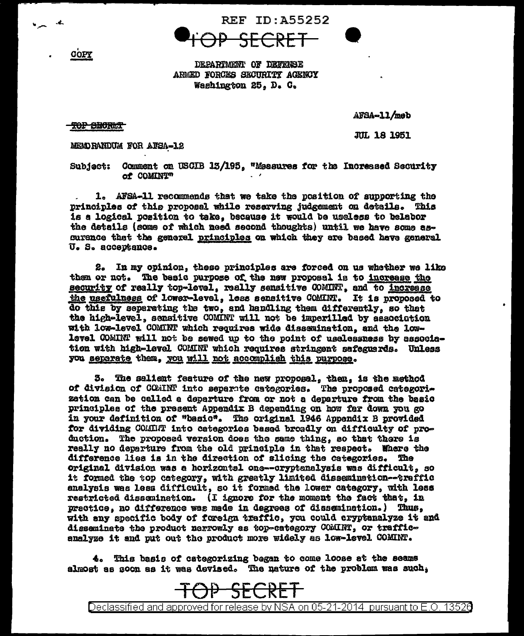**REF ID: A55252** 

DEPARTMENT OF DEFENSE ARMED FORCES SECURITY AGENCY Washington 25, D. C.

AFSA-11/meb

**JUL 18 1951** 

## TOP SECRET

COPY

MENDRANDUM FOR AFSA-12

Subject: Commont on USCIB 13/195, "Measures for the Increased Security of COMINT"

1. AFSA-11 recommends that we take the position of supporting the principles of this proposal while reserving judgement on details. This is a logical position to take, because it would be useless to belabor the details (some of which need second thoughts) until we have some assurance that the general principles on which they are based have general U. S. acceptance.

2. In my opinion, these principles are forced on us whether we like them or not. The basic purpose of the new proposal is to increase the security of really top-level, really sensitive COMINT, and to increase the usefulness of lower-level, less sensitive COMINT. It is proposed to do this by separating the two, and handling them differently, so that the high-level, sensitive COMINT will not be imperilled by association with low-level COMINT which requires wide dissemination, and the lowlevel COMINT will not be sewed up to the point of uselessness by association with high-level COMINT which requires stringent sefeguerds. Unless you separate them, you will not accomplish this purpose.

3. The saliant feature of the new proposal, then, is the method of division of COMINT into separate categories. The proposed categorization can be celled a departure from or not a departure from the basic principles of the present Appendix B depending on how far down you go in your definition of "basic". The original 1946 Appendix B provided for dividing COMMHT into categories based broadly on difficulty of production. The proposed version does the same thing, so that there is really no departure from the old principle in that respect. Where the difference lies is in the direction of slicing the categories. The original division was a horizontal one--oryptanalysis was difficult. so it formed the top category, with greatly limited dissemination--traffic analysis was less difficult, so it formed the lower category, with less restricted dissemination. (I ignore for the moment the fact that, in practice, no difference was made in degrees of dissemination.) Thus, with any specific body of foreign traffic, you could cryptanalyze it and disseminate the product nerrowly as top-category COMINT, or trafficanalyze it and put out the product more widely as low-level COMINT.

4. This basis of categorizing began to come loose at the seams almost as soon as it was devised. The nature of the problem was such,



Declassified and approved for release by NSA on 05-21-2014 pursuant to E.O. 13526